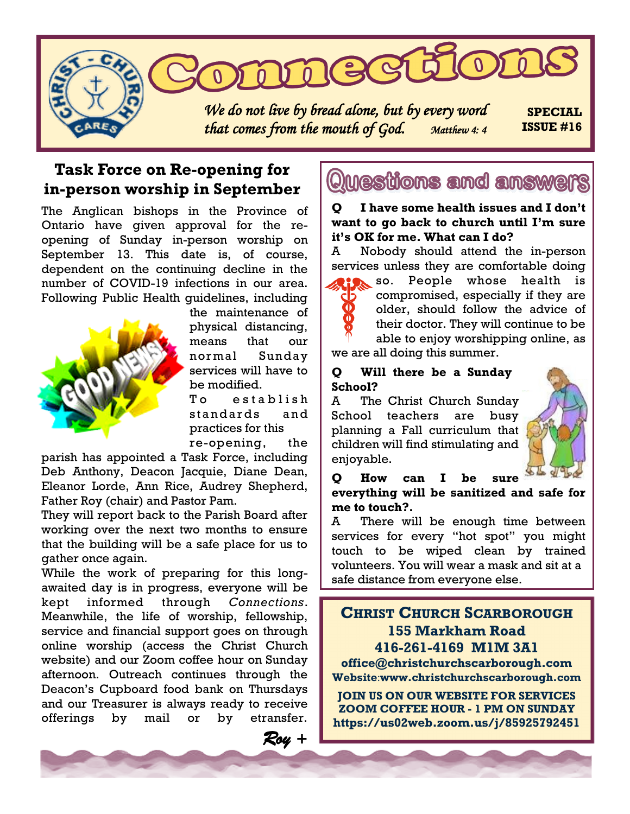

## **Task Force on Re-opening for in-person worship in September**

The Anglican bishops in the Province of Ontario have given approval for the reopening of Sunday in-person worship on September 13. This date is, of course, dependent on the continuing decline in the number of COVID-19 infections in our area. Following Public Health guidelines, including



the maintenance of physical distancing, means that our normal Sunday services will have to be modified.

To establish standards and practices for this re-opening, the

 *Roy +* 

parish has appointed a Task Force, including Deb Anthony, Deacon Jacquie, Diane Dean, Eleanor Lorde, Ann Rice, Audrey Shepherd, Father Roy (chair) and Pastor Pam.

They will report back to the Parish Board after working over the next two months to ensure that the building will be a safe place for us to gather once again.

While the work of preparing for this longawaited day is in progress, everyone will be kept informed through *Connections*. Meanwhile, the life of worship, fellowship, service and financial support goes on through online worship (access the Christ Church website) and our Zoom coffee hour on Sunday afternoon. Outreach continues through the Deacon's Cupboard food bank on Thursdays and our Treasurer is always ready to receive offerings by mail or by etransfer.

# Questions and answers

**Q I have some health issues and I don't want to go back to church until I'm sure it's OK for me. What can I do?**

A Nobody should attend the in-person services unless they are comfortable doing

> so. People whose health is compromised, especially if they are older, should follow the advice of their doctor. They will continue to be able to enjoy worshipping online, as

we are all doing this summer.

#### **Q Will there be a Sunday School?**

A The Christ Church Sunday School teachers are busy planning a Fall curriculum that children will find stimulating and enjoyable.



**Q How can I be sure everything will be sanitized and safe for me to touch?.** 

A There will be enough time between services for every "hot spot" you might touch to be wiped clean by trained volunteers. You will wear a mask and sit at a safe distance from everyone else.

## **CHRIST CHURCH SCARBOROUGH 155 Markham Road 416-261-4169 M1M 3A1**

**office@christchurchscarborough.com Website**:**www.christchurchscarborough.com**

**JOIN US ON OUR WEBSITE FOR SERVICES ZOOM COFFEE HOUR - 1 PM ON SUNDAY https://us02web.zoom.us/j/85925792451**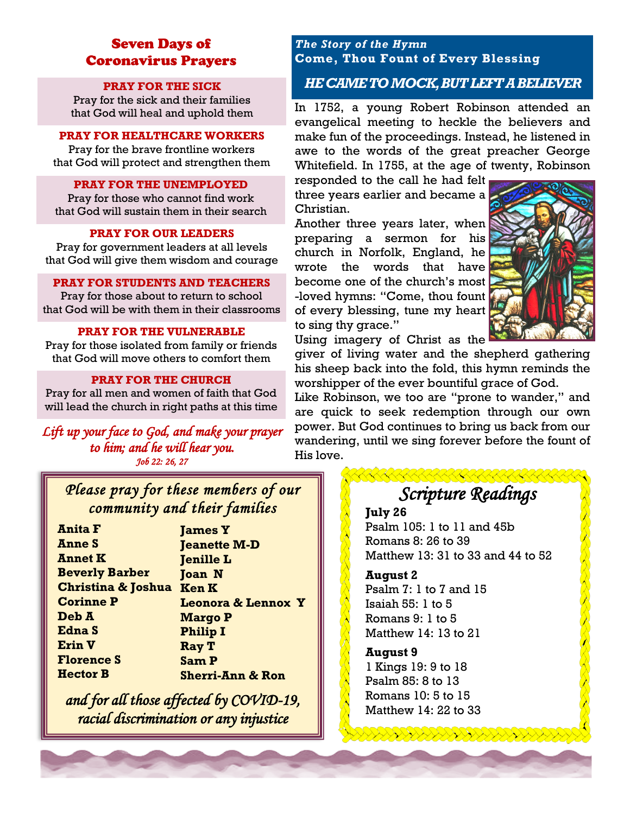## Seven Days of Coronavirus Prayers

#### **PRAY FOR THE SICK**

Pray for the sick and their families that God will heal and uphold them

#### **PRAY FOR HEALTHCARE WORKERS**

Pray for the brave frontline workers that God will protect and strengthen them

#### **PRAY FOR THE UNEMPLOYED**

Pray for those who cannot find work that God will sustain them in their search

#### **PRAY FOR OUR LEADERS**

Pray for government leaders at all levels that God will give them wisdom and courage

#### **PRAY FOR STUDENTS AND TEACHERS**

Pray for those about to return to school that God will be with them in their classrooms

#### **PRAY FOR THE VULNERABLE**

Pray for those isolated from family or friends that God will move others to comfort them

#### **PRAY FOR THE CHURCH**

Pray for all men and women of faith that God will lead the church in right paths at this time

*Lift up your face to God, and make your prayer to him; and he will hear you. Job 22: 26, 27* 

## *Please pray for these members of our community and their families*

**James Y Jeanette M-D Jenille L Joan N Ken K Leonora & Lennox Y Margo P Philip I Ray T Sam P Sherri-Ann & Ron**

*and for all those affected by COVID-19, racial discrimination or any injustice*

#### *The Story of the Hymn* **Come, Thou Fount of Every Blessing**

### *HE CAME TO MOCK, BUT LEFT A BELIEVER*

In 1752, a young Robert Robinson attended an evangelical meeting to heckle the believers and make fun of the proceedings. Instead, he listened in awe to the words of the great preacher George Whitefield. In 1755, at the age of twenty, Robinson

responded to the call he had felt three years earlier and became a Christian.

Another three years later, when preparing a sermon for his church in Norfolk, England, he wrote the words that have become one of the church's most -loved hymns: "Come, thou fount of every blessing, tune my heart to sing thy grace."



Using imagery of Christ as the giver of living water and the shepherd gathering his sheep back into the fold, this hymn reminds the worshipper of the ever bountiful grace of God.

Like Robinson, we too are "prone to wander," and are quick to seek redemption through our own power. But God continues to bring us back from our wandering, until we sing forever before the fount of His love.

## *Scripture Readings*

**July 26**

Psalm 105: 1 to 11 and 45b Romans 8: 26 to 39 Matthew 13: 31 to 33 and 44 to 52

#### **August 2**

Psalm 7: 1 to 7 and 15 Isaiah 55: 1 to 5 Romans 9: 1 to 5 Matthew 14: 13 to 21

#### **August 9**

1 Kings 19: 9 to 18 Psalm 85: 8 to 13 Romans 10: 5 to 15 Matthew 14: 22 to 33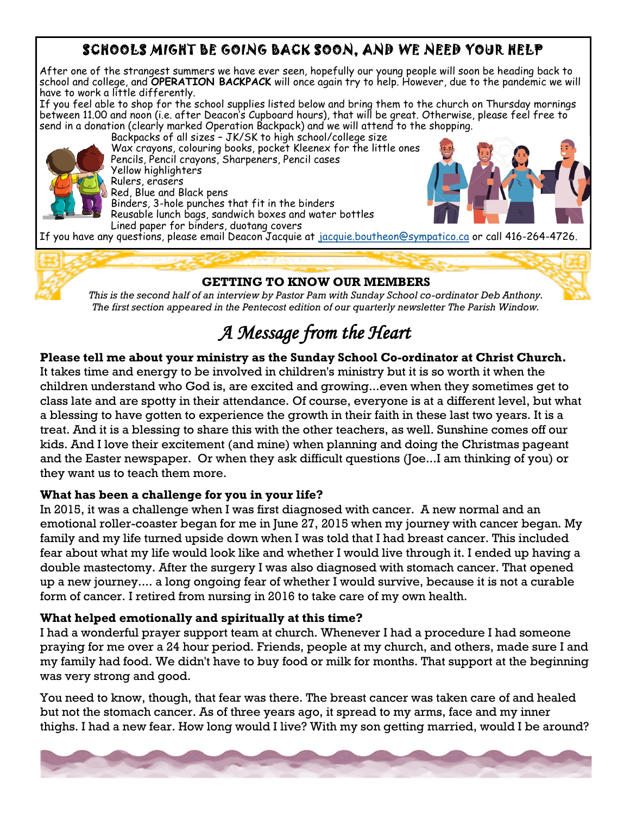## SCHOOLS MIGHT BE GOING BACK SOON, AND WE NEED YOUR HELP

After one of the strangest summers we have ever seen, hopefully our young people will soon be heading back to school and college, and **OPERATION BACKPACK** will once again try to help. However, due to the pandemic we will have to work a little differently.

If you feel able to shop for the school supplies listed below and bring them to the church on Thursday mornings between 11.00 and noon (i.e. after Deacon's Cupboard hours), that will be great. Otherwise, please feel free to send in a donation (clearly marked Operation Backpack) and we will attend to the shopping.



Backpacks of all sizes – JK/SK to high school/college size Wax crayons, colouring books, pocket Kleenex for the little ones Pencils, Pencil crayons, Sharpeners, Pencil cases Yellow highlighters Rulers, erasers Red, Blue and Black pens Binders, 3-hole punches that fit in the binders Reusable lunch bags, sandwich boxes and water bottles Lined paper for binders, duotang covers



If you have any questions, please email Deacon Jacquie at [jacquie.boutheon@sympatico.ca](about:blank) or call 416-264-4726.

### **GETTING TO KNOW OUR MEMBERS**

*This is the second half of an interview by Pastor Pam with Sunday School co-ordinator Deb Anthony. The first section appeared in the Pentecost edition of our quarterly newsletter The Parish Window.*

# *A Message from the Heart*

## **Please tell me about your ministry as the Sunday School Co-ordinator at Christ Church.**

It takes time and energy to be involved in children's ministry but it is so worth it when the children understand who God is, are excited and growing...even when they sometimes get to class late and are spotty in their attendance. Of course, everyone is at a different level, but what a blessing to have gotten to experience the growth in their faith in these last two years. It is a treat. And it is a blessing to share this with the other teachers, as well. Sunshine comes off our kids. And I love their excitement (and mine) when planning and doing the Christmas pageant and the Easter newspaper. Or when they ask difficult questions (Joe...I am thinking of you) or they want us to teach them more.

#### **What has been a challenge for you in your life?**

In 2015, it was a challenge when I was first diagnosed with cancer. A new normal and an emotional roller-coaster began for me in June 27, 2015 when my journey with cancer began. My family and my life turned upside down when I was told that I had breast cancer. This included fear about what my life would look like and whether I would live through it. I ended up having a double mastectomy. After the surgery I was also diagnosed with stomach cancer. That opened up a new journey.... a long ongoing fear of whether I would survive, because it is not a curable form of cancer. I retired from nursing in 2016 to take care of my own health.

### **What helped emotionally and spiritually at this time?**

I had a wonderful prayer support team at church. Whenever I had a procedure I had someone praying for me over a 24 hour period. Friends, people at my church, and others, made sure I and my family had food. We didn't have to buy food or milk for months. That support at the beginning was very strong and good.

You need to know, though, that fear was there. The breast cancer was taken care of and healed but not the stomach cancer. As of three years ago, it spread to my arms, face and my inner thighs. I had a new fear. How long would I live? With my son getting married, would I be around?